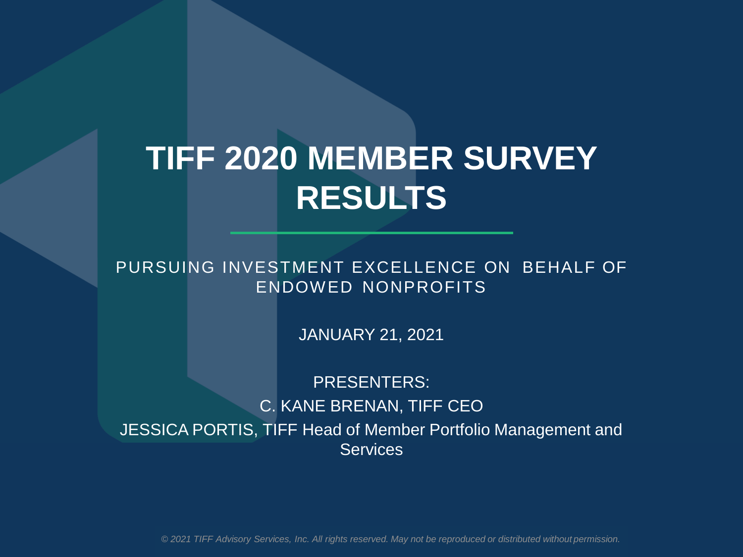# **TIFF 2020 MEMBER SURVEY RESULTS**

PURSUING INVESTMENT EXCELLENCE ON BEHALF OF ENDOWED NONPROFITS

JANUARY 21, 2021

PRESENTERS: C. KANE BRENAN, TIFF CEO JESSICA PORTIS, TIFF Head of Member Portfolio Management and **Services** 

*© 2021 TIFF Advisory Services, Inc. All rights reserved. May not be reproduced or distributed without permission.*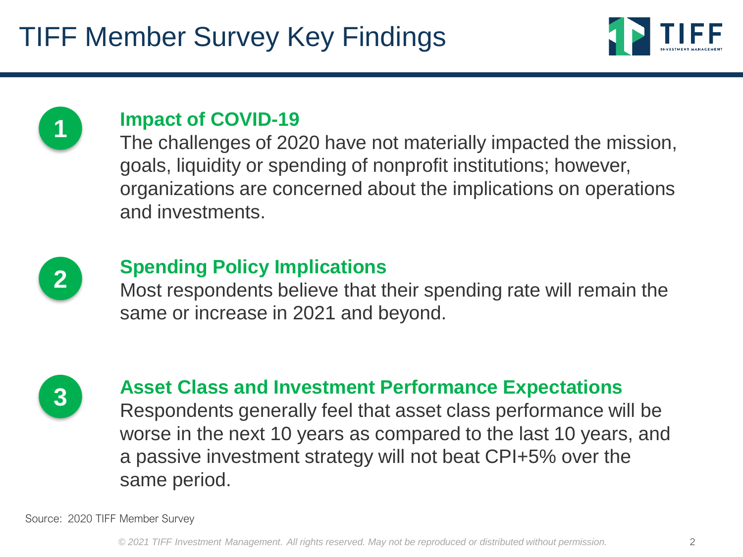



### **Impact of COVID-19**

The challenges of 2020 have not materially impacted the mission, goals, liquidity or spending of nonprofit institutions; however, organizations are concerned about the implications on operations and investments.



## **Spending Policy Implications**

Most respondents believe that their spending rate will remain the same or increase in 2021 and beyond.



## **Asset Class and Investment Performance Expectations**

Respondents generally feel that asset class performance will be worse in the next 10 years as compared to the last 10 years, and a passive investment strategy will not beat CPI+5% over the same period.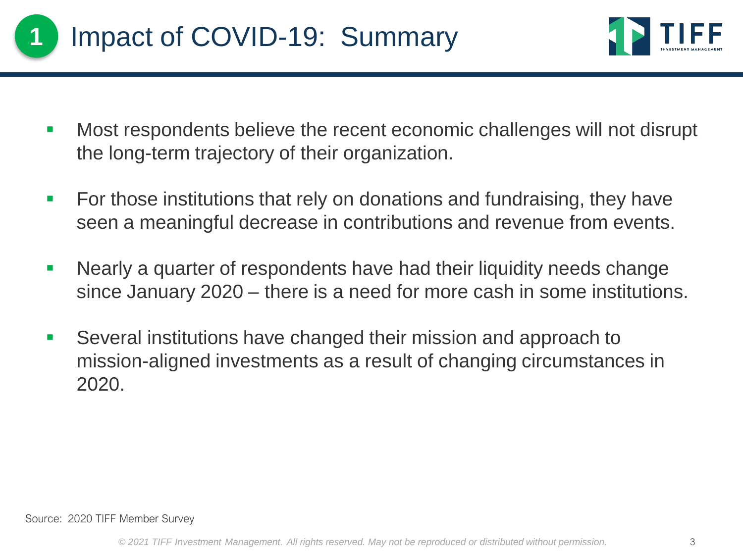



- Most respondents believe the recent economic challenges will not disrupt the long-term trajectory of their organization.
- For those institutions that rely on donations and fundraising, they have seen a meaningful decrease in contributions and revenue from events.
- Nearly a quarter of respondents have had their liquidity needs change since January 2020 – there is a need for more cash in some institutions.
- Several institutions have changed their mission and approach to mission-aligned investments as a result of changing circumstances in 2020.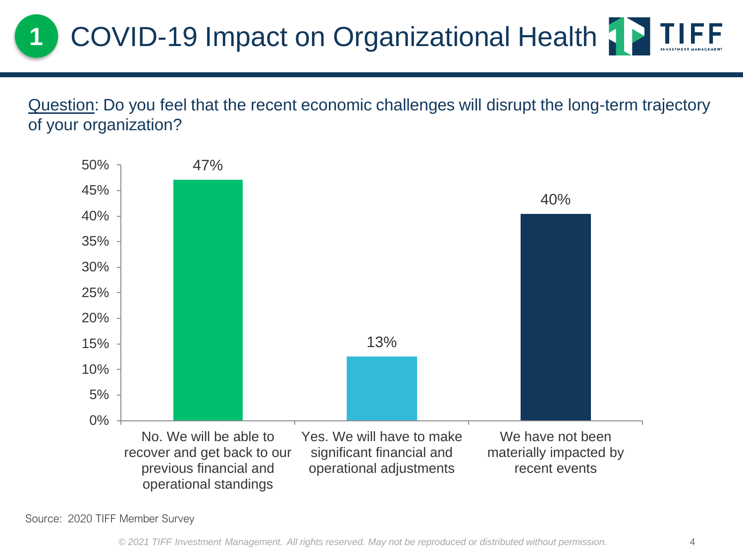Question: Do you feel that the recent economic challenges will disrupt the long-term trajectory of your organization?

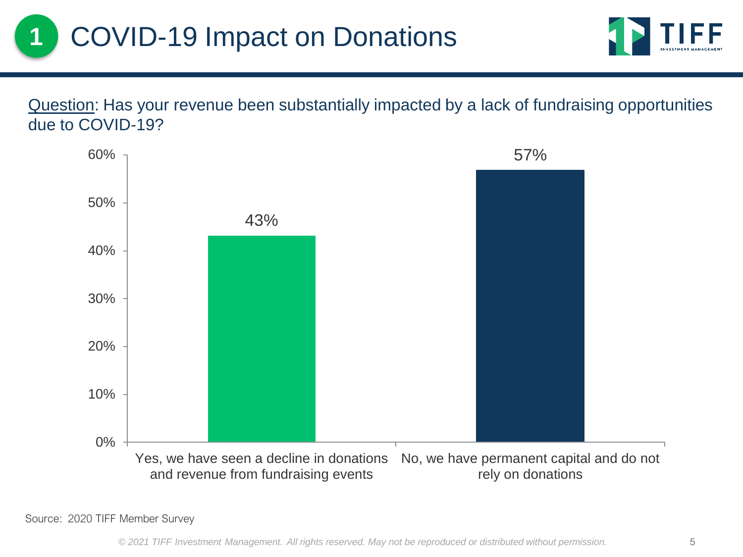Question: Has your revenue been substantially impacted by a lack of fundraising opportunities due to COVID-19?

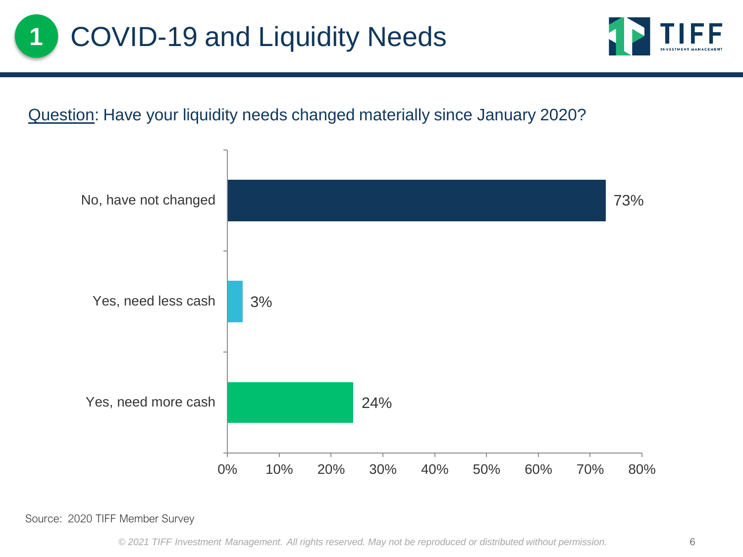

### Question: Have your liquidity needs changed materially since January 2020?

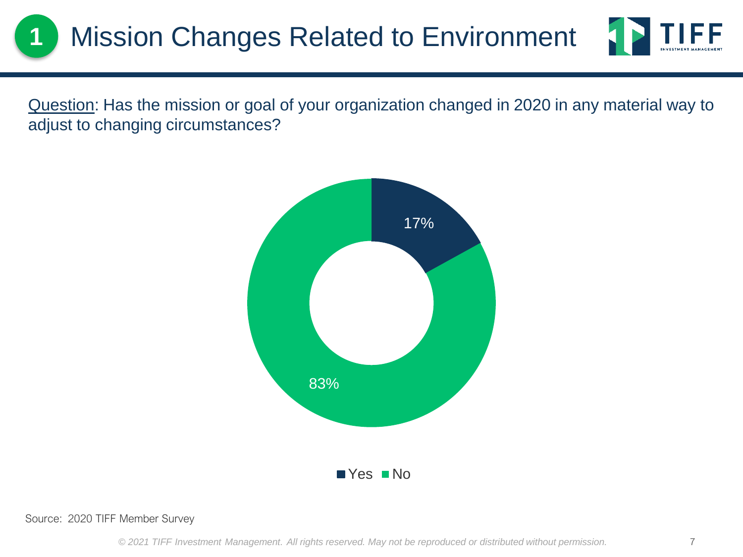

Question: Has the mission or goal of your organization changed in 2020 in any material way to adjust to changing circumstances?

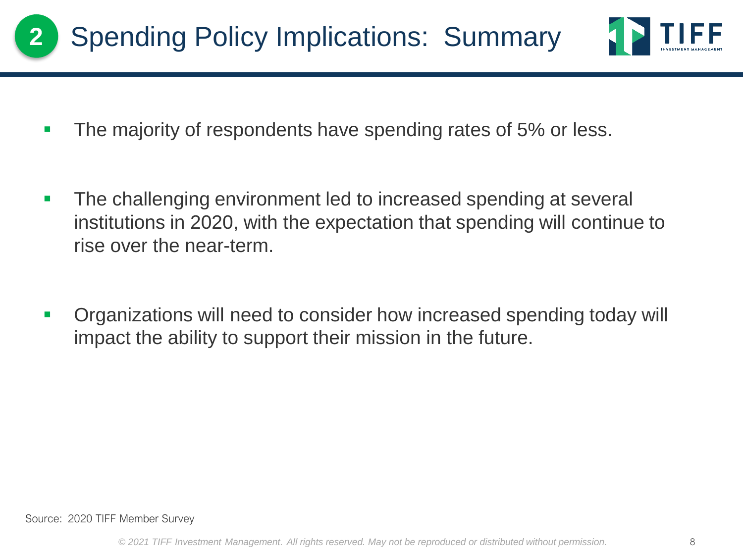



- **The majority of respondents have spending rates of 5% or less.**
- The challenging environment led to increased spending at several institutions in 2020, with the expectation that spending will continue to rise over the near-term.
- Organizations will need to consider how increased spending today will impact the ability to support their mission in the future.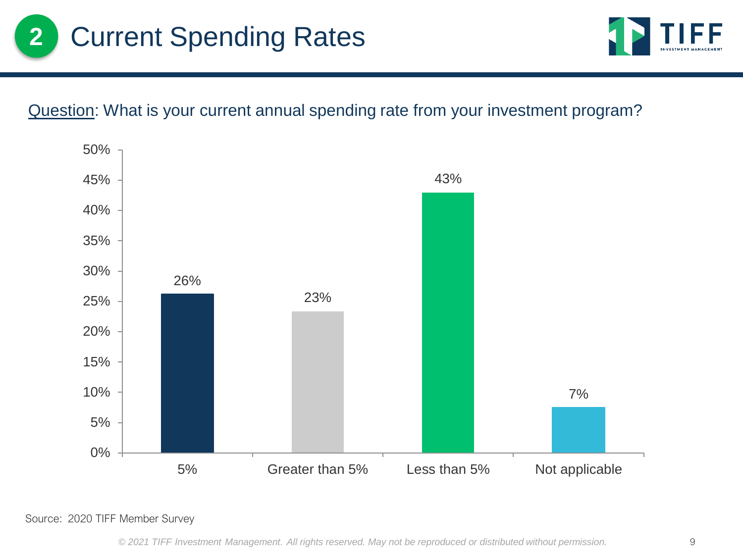



### Question: What is your current annual spending rate from your investment program?

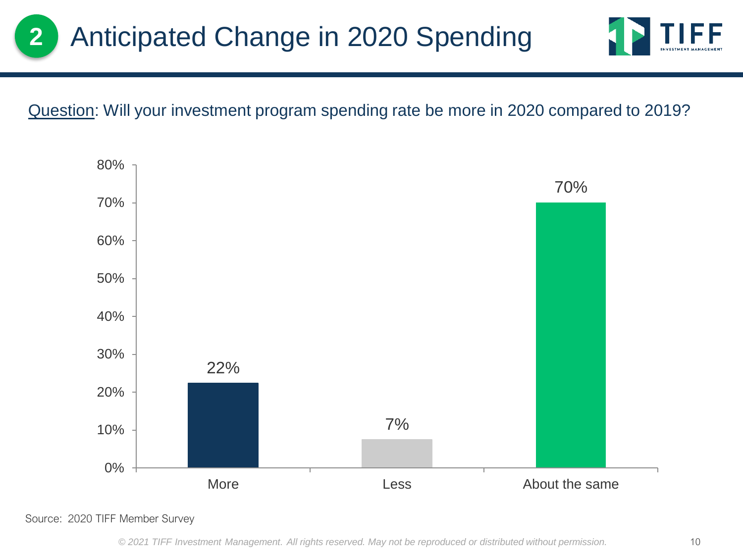



### Question: Will your investment program spending rate be more in 2020 compared to 2019?

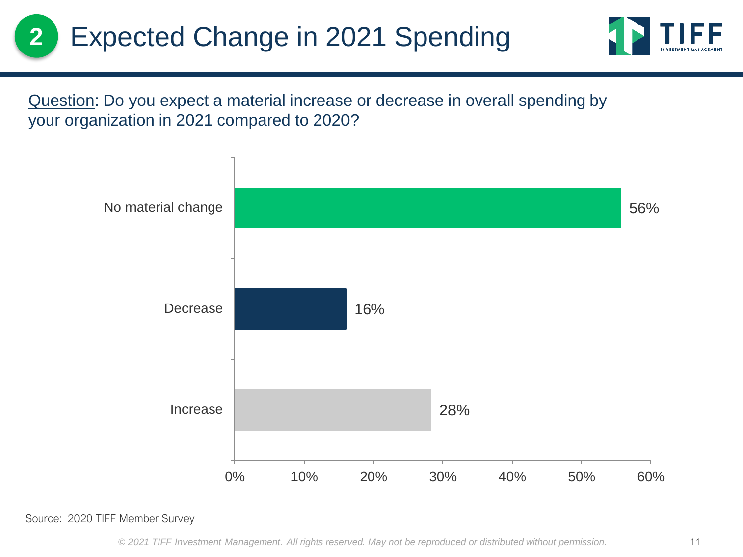

Question: Do you expect a material increase or decrease in overall spending by your organization in 2021 compared to 2020?

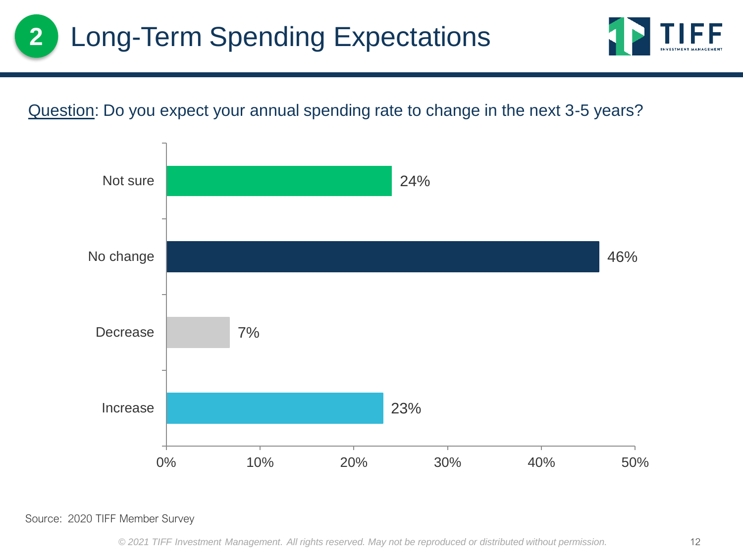

### Question: Do you expect your annual spending rate to change in the next 3-5 years?

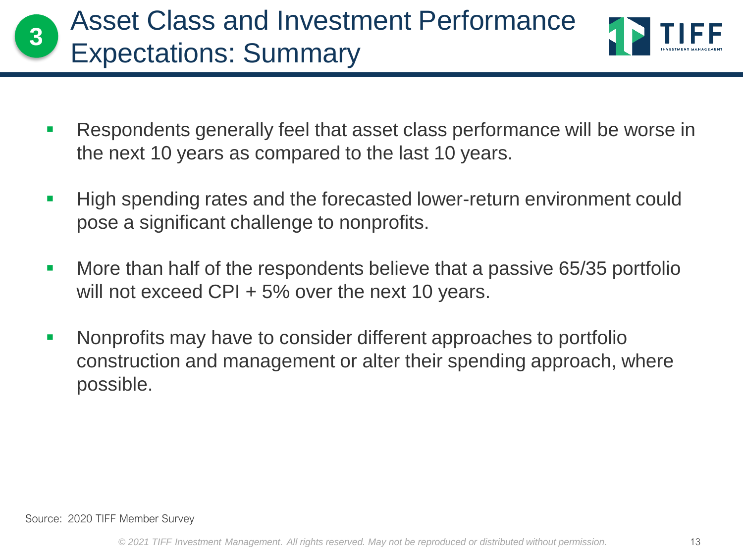



- Respondents generally feel that asset class performance will be worse in the next 10 years as compared to the last 10 years.
- High spending rates and the forecasted lower-return environment could pose a significant challenge to nonprofits.
- More than half of the respondents believe that a passive 65/35 portfolio will not exceed CPI + 5% over the next 10 years.
- Nonprofits may have to consider different approaches to portfolio construction and management or alter their spending approach, where possible.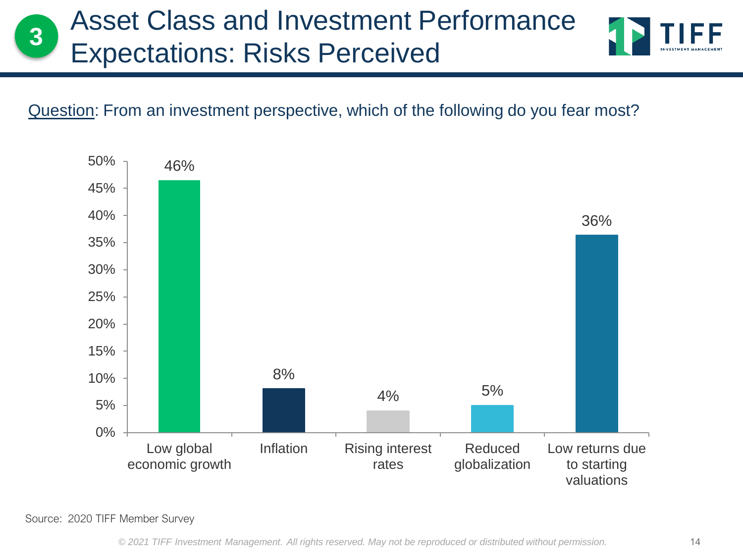# Asset Class and Investment Performance Expectations: Risks Perceived **<sup>3</sup>**



### Question: From an investment perspective, which of the following do you fear most?

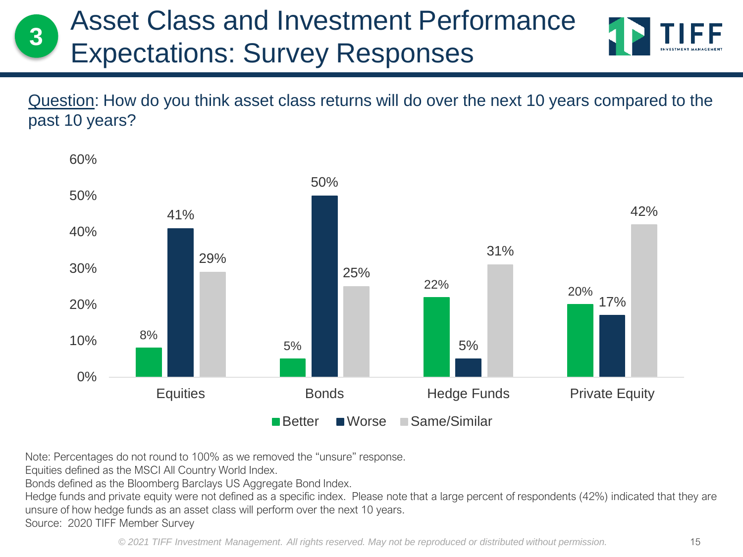# Asset Class and Investment Performance Expectations: Survey Responses **<sup>3</sup>**

Question: How do you think asset class returns will do over the next 10 years compared to the past 10 years?



Note: Percentages do not round to 100% as we removed the "unsure" response.

Equities defined as the MSCI All Country World Index.

Bonds defined as the Bloomberg Barclays US Aggregate Bond Index.

Hedge funds and private equity were not defined as a specific index. Please note that a large percent of respondents (42%) indicated that they are unsure of how hedge funds as an asset class will perform over the next 10 years.

Source: 2020 TIFF Member Survey

*© 2021 TIFF Investment Management. All rights reserved. May not be reproduced or distributed without permission.* 15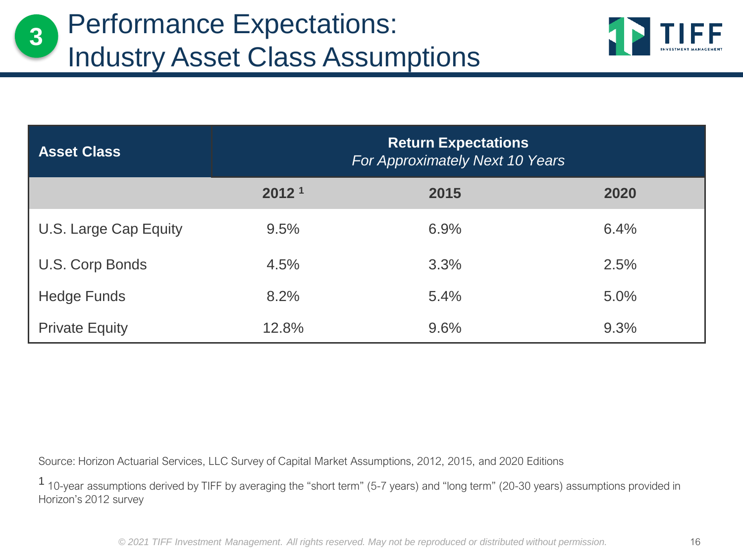

| <b>Asset Class</b>    | <b>Return Expectations</b><br>For Approximately Next 10 Years |      |      |
|-----------------------|---------------------------------------------------------------|------|------|
|                       | 2012 <sup>1</sup>                                             | 2015 | 2020 |
| U.S. Large Cap Equity | 9.5%                                                          | 6.9% | 6.4% |
| U.S. Corp Bonds       | 4.5%                                                          | 3.3% | 2.5% |
| Hedge Funds           | 8.2%                                                          | 5.4% | 5.0% |
| <b>Private Equity</b> | 12.8%                                                         | 9.6% | 9.3% |

Source: Horizon Actuarial Services, LLC Survey of Capital Market Assumptions, 2012, 2015, and 2020 Editions

1 10-year assumptions derived by TIFF by averaging the "short term" (5-7 years) and "long term" (20-30 years) assumptions provided in Horizon's 2012 survey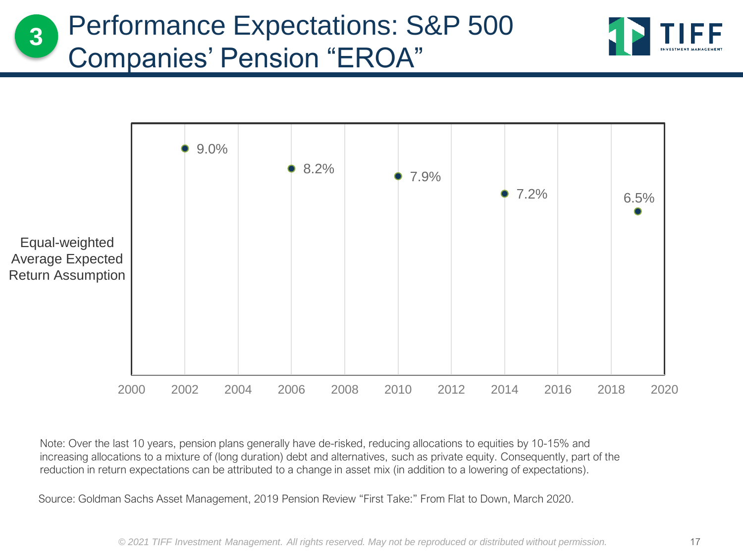### Performance Expectations: S&P 500 Companies' Pension "EROA" **3**





Note: Over the last 10 years, pension plans generally have de-risked, reducing allocations to equities by 10-15% and increasing allocations to a mixture of (long duration) debt and alternatives, such as private equity. Consequently, part of the reduction in return expectations can be attributed to a change in asset mix (in addition to a lowering of expectations).

Source: Goldman Sachs Asset Management, 2019 Pension Review "First Take:" From Flat to Down, March 2020.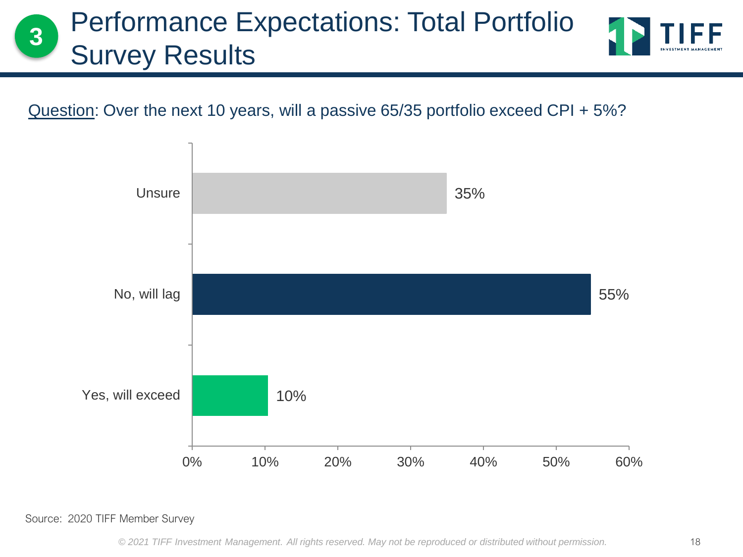# Performance Expectations: Total Portfolio Survey Results **<sup>3</sup>**

Question: Over the next 10 years, will a passive 65/35 portfolio exceed CPI + 5%?



Source: 2020 TIFF Member Survey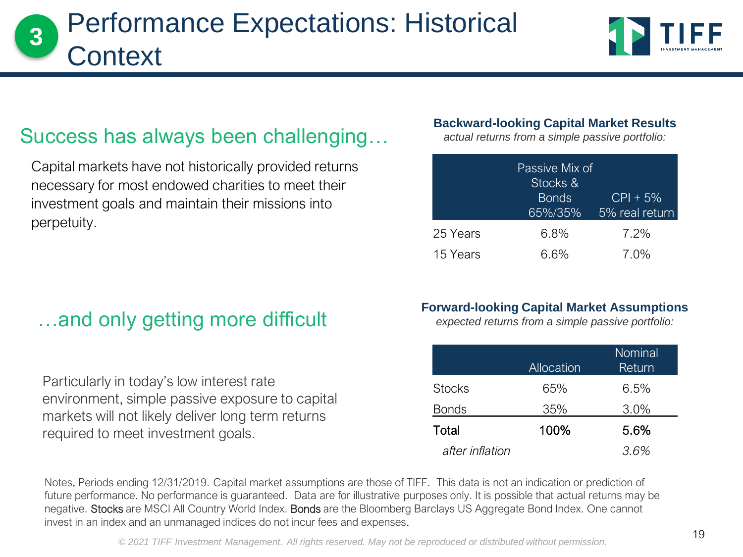# Performance Expectations: Historical Context **<sup>3</sup>**



## Success has always been challenging…

Capital markets have not historically provided returns necessary for most endowed charities to meet their investment goals and maintain their missions into perpetuity.

## …and only getting more difficult

Particularly in today's low interest rate environment, simple passive exposure to capital markets will not likely deliver long term returns required to meet investment goals.

#### **Backward-looking Capital Market Results**

*actual returns from a simple passive portfolio:*

|          | Passive Mix of<br>Stocks &<br><b>Bonds</b><br>65%/35% | $ CP  + 5\%$<br>5% real return |
|----------|-------------------------------------------------------|--------------------------------|
| 25 Years | 6.8%                                                  | 7.2%                           |
| 15 Years | 6.6%                                                  | $7.0\%$                        |

#### **Forward-looking Capital Market Assumptions**

*expected returns from a simple passive portfolio:*

|                 | Allocation | Nominal<br>Return |
|-----------------|------------|-------------------|
| <b>Stocks</b>   | 65%        | 6.5%              |
| <b>Bonds</b>    | 35%        | 3.0%              |
| Total           | 100%       | 5.6%              |
| after inflation |            | 3.6%              |

Notes. Periods ending 12/31/2019. Capital market assumptions are those of TIFF. This data is not an indication or prediction of future performance. No performance is guaranteed. Data are for illustrative purposes only. It is possible that actual returns may be negative. Stocks are MSCI All Country World Index. Bonds are the Bloomberg Barclays US Aggregate Bond Index. One cannot invest in an index and an unmanaged indices do not incur fees and expenses.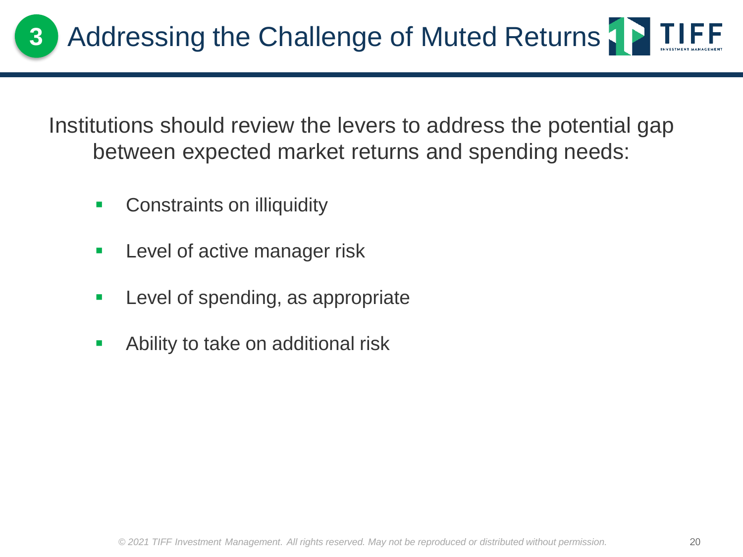Institutions should review the levers to address the potential gap between expected market returns and spending needs:

- Constraints on illiquidity
- **EXEC** Level of active manager risk
- Level of spending, as appropriate
- Ability to take on additional risk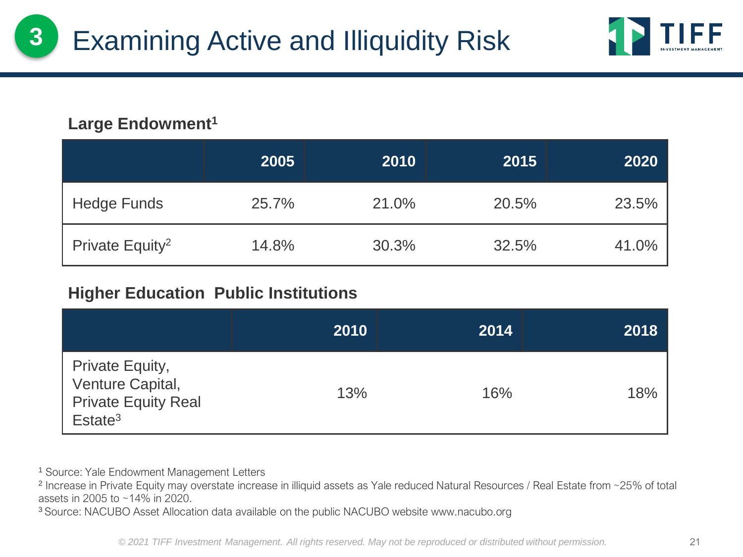

### **Large Endowment<sup>1</sup>**

**3**

|                             | 2005  | 2010  | 2015  | 2020  |
|-----------------------------|-------|-------|-------|-------|
| <b>Hedge Funds</b>          | 25.7% | 21.0% | 20.5% | 23.5% |
| Private Equity <sup>2</sup> | 14.8% | 30.3% | 32.5% | 41.0% |

#### **Higher Education Public Institutions**

|                                                                                          | 2010 | 2014 | 2018 |
|------------------------------------------------------------------------------------------|------|------|------|
| Private Equity,<br>Venture Capital,<br><b>Private Equity Real</b><br>Estate <sup>3</sup> | 13%  | 16%  | 18%  |

<sup>1</sup> Source: Yale Endowment Management Letters

2 Increase in Private Equity may overstate increase in illiquid assets as Yale reduced Natural Resources / Real Estate from ~25% of total assets in 2005 to ~14% in 2020.

<sup>3</sup> Source: NACUBO Asset Allocation data available on the public NACUBO website www.nacubo.org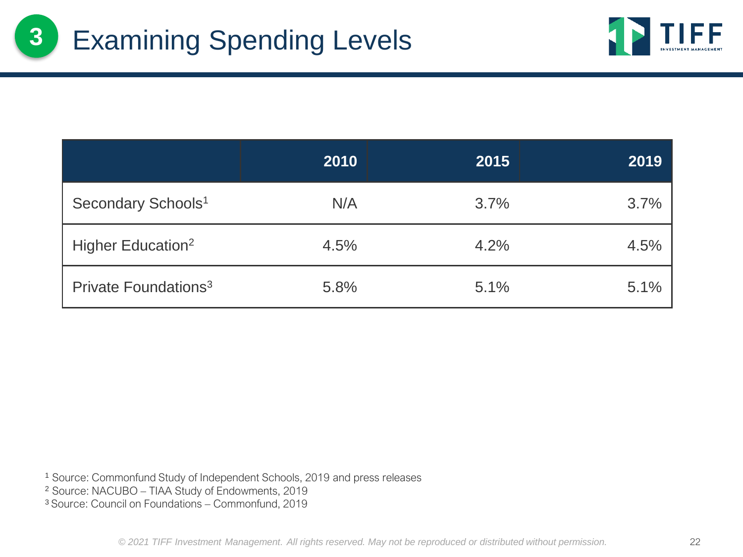

|                                  | 2010 | 2015 | 2019 |
|----------------------------------|------|------|------|
| Secondary Schools <sup>1</sup>   | N/A  | 3.7% | 3.7% |
| Higher Education <sup>2</sup>    | 4.5% | 4.2% | 4.5% |
| Private Foundations <sup>3</sup> | 5.8% | 5.1% | 5.1% |

<sup>1</sup> Source: Commonfund Study of Independent Schools, 2019 and press releases

<sup>2</sup> Source: NACUBO – TIAA Study of Endowments, 2019

<sup>3</sup>Source: Council on Foundations – Commonfund, 2019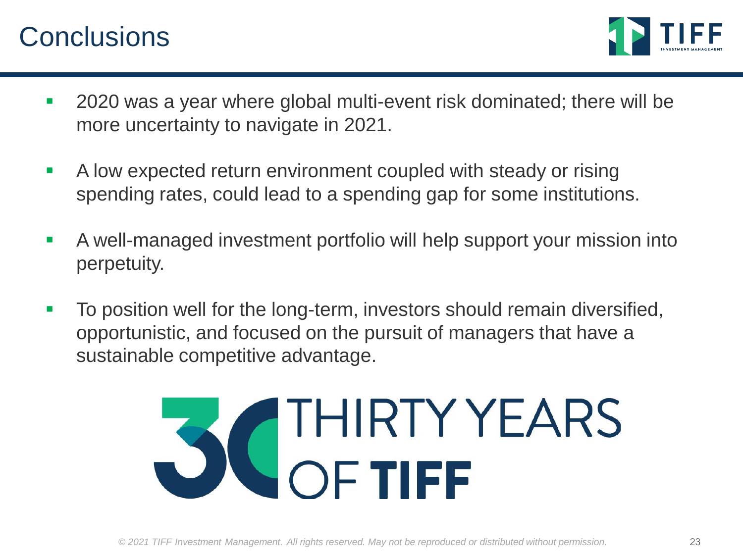# **Conclusions**



- 2020 was a year where global multi-event risk dominated; there will be more uncertainty to navigate in 2021.
- A low expected return environment coupled with steady or rising spending rates, could lead to a spending gap for some institutions.
- **EXECT** A well-managed investment portfolio will help support your mission into perpetuity.
- To position well for the long-term, investors should remain diversified, opportunistic, and focused on the pursuit of managers that have a sustainable competitive advantage.